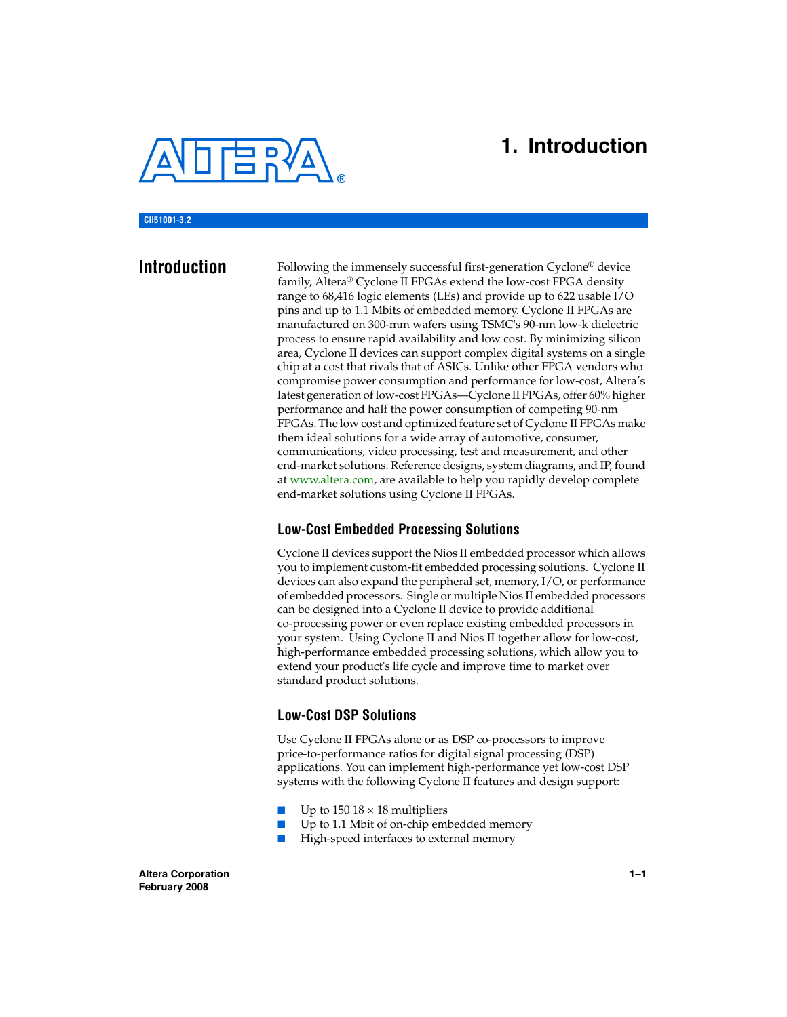

## **1. Introduction**

**CII51001-3.2**

**Introduction** Following the immensely successful first-generation Cyclone<sup>®</sup> device family, Altera® Cyclone II FPGAs extend the low-cost FPGA density range to 68,416 logic elements (LEs) and provide up to 622 usable I/O pins and up to 1.1 Mbits of embedded memory. Cyclone II FPGAs are manufactured on 300-mm wafers using TSMC's 90-nm low-k dielectric process to ensure rapid availability and low cost. By minimizing silicon area, Cyclone II devices can support complex digital systems on a single chip at a cost that rivals that of ASICs. Unlike other FPGA vendors who compromise power consumption and performance for low-cost, Altera's latest generation of low-cost FPGAs—Cyclone II FPGAs, offer 60% higher performance and half the power consumption of competing 90-nm FPGAs. The low cost and optimized feature set of Cyclone II FPGAs make them ideal solutions for a wide array of automotive, consumer, communications, video processing, test and measurement, and other end-market solutions. Reference designs, system diagrams, and IP, found at www.altera.com, are available to help you rapidly develop complete end-market solutions using Cyclone II FPGAs.

### **Low-Cost Embedded Processing Solutions**

Cyclone II devices support the Nios II embedded processor which allows you to implement custom-fit embedded processing solutions. Cyclone II devices can also expand the peripheral set, memory, I/O, or performance of embedded processors. Single or multiple Nios II embedded processors can be designed into a Cyclone II device to provide additional co-processing power or even replace existing embedded processors in your system. Using Cyclone II and Nios II together allow for low-cost, high-performance embedded processing solutions, which allow you to extend your product's life cycle and improve time to market over standard product solutions.

### **Low-Cost DSP Solutions**

Use Cyclone II FPGAs alone or as DSP co-processors to improve price-to-performance ratios for digital signal processing (DSP) applications. You can implement high-performance yet low-cost DSP systems with the following Cyclone II features and design support:

- Up to 150  $18 \times 18$  multipliers
- Up to 1.1 Mbit of on-chip embedded memory
- High-speed interfaces to external memory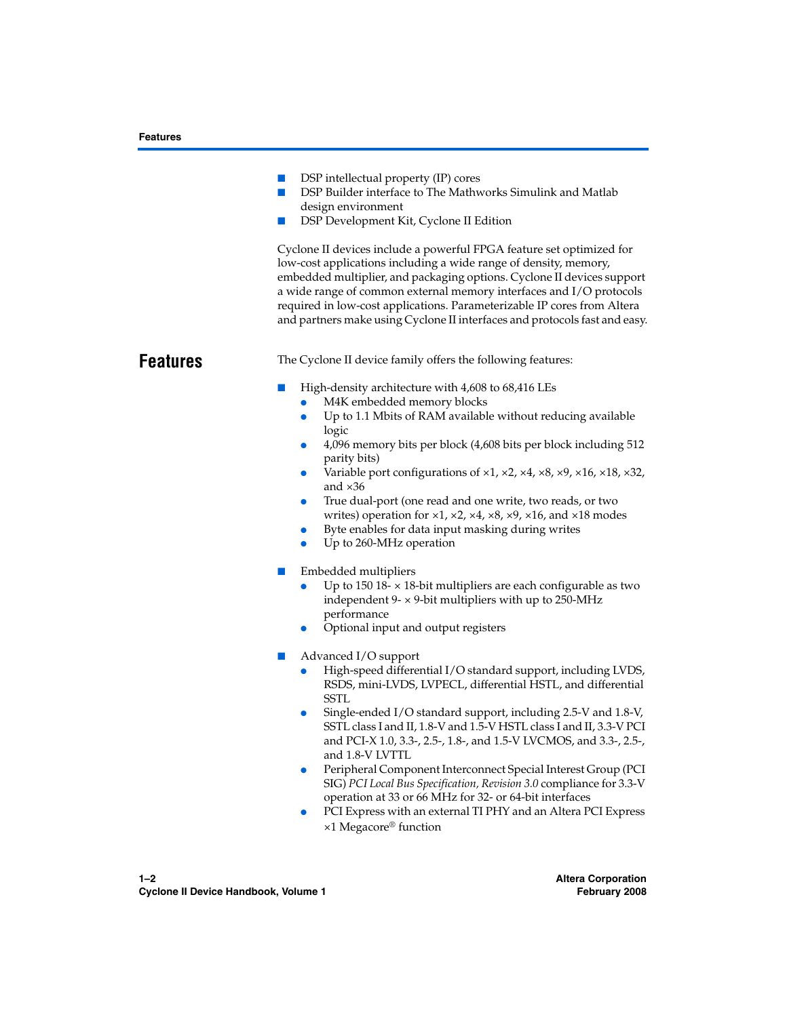|                 | DSP intellectual property (IP) cores<br>ш<br>DSP Builder interface to The Mathworks Simulink and Matlab<br>I.<br>design environment<br>DSP Development Kit, Cyclone II Edition<br>ш<br>Cyclone II devices include a powerful FPGA feature set optimized for<br>low-cost applications including a wide range of density, memory,<br>embedded multiplier, and packaging options. Cyclone II devices support<br>a wide range of common external memory interfaces and I/O protocols<br>required in low-cost applications. Parameterizable IP cores from Altera<br>and partners make using Cyclone II interfaces and protocols fast and easy.                                                                                     |
|-----------------|-------------------------------------------------------------------------------------------------------------------------------------------------------------------------------------------------------------------------------------------------------------------------------------------------------------------------------------------------------------------------------------------------------------------------------------------------------------------------------------------------------------------------------------------------------------------------------------------------------------------------------------------------------------------------------------------------------------------------------|
| <b>Features</b> | The Cyclone II device family offers the following features:                                                                                                                                                                                                                                                                                                                                                                                                                                                                                                                                                                                                                                                                   |
|                 | High-density architecture with 4,608 to 68,416 LEs<br>M4K embedded memory blocks<br>Up to 1.1 Mbits of RAM available without reducing available<br>$\bullet$<br>logic<br>4,096 memory bits per block (4,608 bits per block including 512<br>$\bullet$<br>parity bits)<br>Variable port configurations of $\times$ 1, $\times$ 2, $\times$ 4, $\times$ 8, $\times$ 9, $\times$ 16, $\times$ 18, $\times$ 32,<br>and $\times 36$<br>True dual-port (one read and one write, two reads, or two<br>$\bullet$<br>writes) operation for $\times$ 1, $\times$ 2, $\times$ 4, $\times$ 8, $\times$ 9, $\times$ 16, and $\times$ 18 modes<br>Byte enables for data input masking during writes<br>$\bullet$<br>Up to 260-MHz operation |
|                 | Embedded multipliers<br>ш<br>Up to 150 18- $\times$ 18-bit multipliers are each configurable as two<br>independent $9 - \times 9$ -bit multipliers with up to 250-MHz<br>performance<br>Optional input and output registers<br>Advanced I/O support<br>High-speed differential I/O standard support, including LVDS,<br>RSDS, mini-LVDS, LVPECL, differential HSTL, and differential                                                                                                                                                                                                                                                                                                                                          |
|                 | <b>SSTL</b><br>Single-ended I/O standard support, including 2.5-V and 1.8-V,<br>SSTL class I and II, 1.8-V and 1.5-V HSTL class I and II, 3.3-V PCI<br>and PCI-X 1.0, 3.3-, 2.5-, 1.8-, and 1.5-V LVCMOS, and 3.3-, 2.5-,<br>and 1.8-V LVTTL<br>Peripheral Component Interconnect Special Interest Group (PCI<br>$\bullet$<br>SIG) PCI Local Bus Specification, Revision 3.0 compliance for 3.3-V<br>operation at 33 or 66 MHz for 32- or 64-bit interfaces                                                                                                                                                                                                                                                                   |

● PCI Express with an external TI PHY and an Altera PCI Express ×1 Megacore® function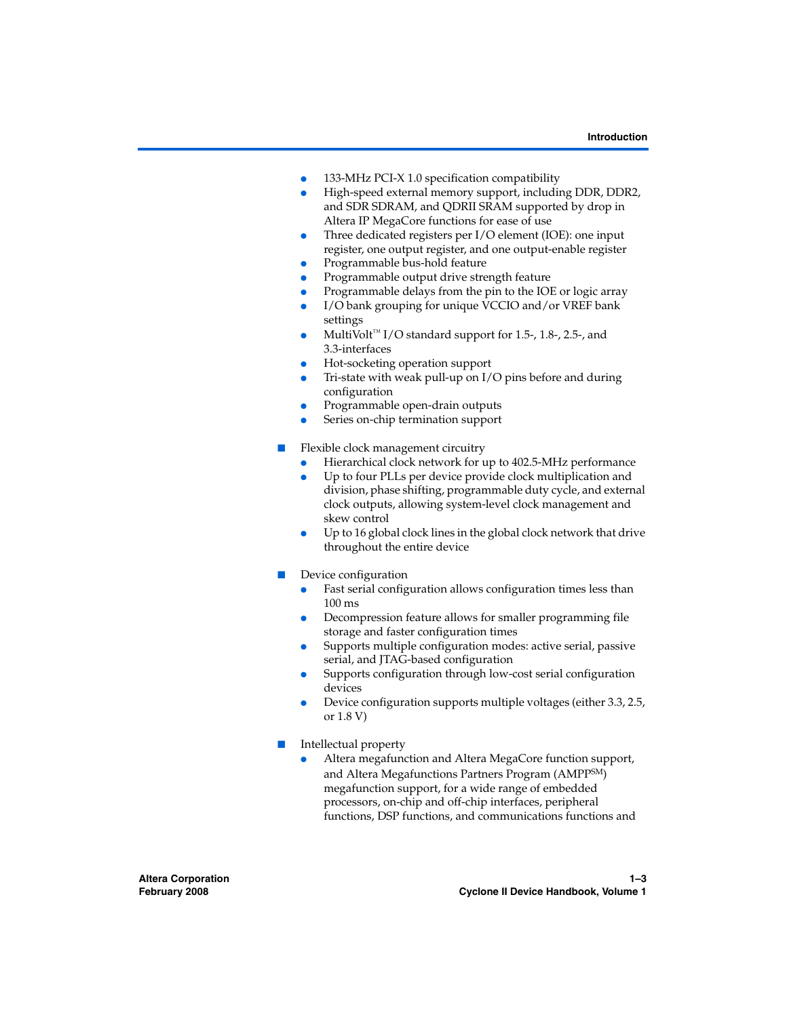- 133-MHz PCI-X 1.0 specification compatibility
- High-speed external memory support, including DDR, DDR2, and SDR SDRAM, and QDRII SRAM supported by drop in Altera IP MegaCore functions for ease of use
- Three dedicated registers per I/O element (IOE): one input register, one output register, and one output-enable register
- Programmable bus-hold feature
- Programmable output drive strength feature
- Programmable delays from the pin to the IOE or logic array
- I/O bank grouping for unique VCCIO and/or VREF bank settings
- $MultiVolt<sup>TM</sup> I/O standard support for 1.5-, 1.8-, 2.5-, and$ 3.3-interfaces
- Hot-socketing operation support
- Tri-state with weak pull-up on  $I/O$  pins before and during configuration
- Programmable open-drain outputs
- Series on-chip termination support
- Flexible clock management circuitry
	- Hierarchical clock network for up to 402.5-MHz performance
	- Up to four PLLs per device provide clock multiplication and division, phase shifting, programmable duty cycle, and external clock outputs, allowing system-level clock management and skew control
	- Up to 16 global clock lines in the global clock network that drive throughout the entire device
- Device configuration
	- Fast serial configuration allows configuration times less than 100 ms
	- Decompression feature allows for smaller programming file storage and faster configuration times
	- Supports multiple configuration modes: active serial, passive serial, and JTAG-based configuration
	- Supports configuration through low-cost serial configuration devices
	- Device configuration supports multiple voltages (either 3.3, 2.5, or 1.8 V)
- Intellectual property
	- Altera megafunction and Altera MegaCore function support, and Altera Megafunctions Partners Program (AMPPSM) megafunction support, for a wide range of embedded processors, on-chip and off-chip interfaces, peripheral functions, DSP functions, and communications functions and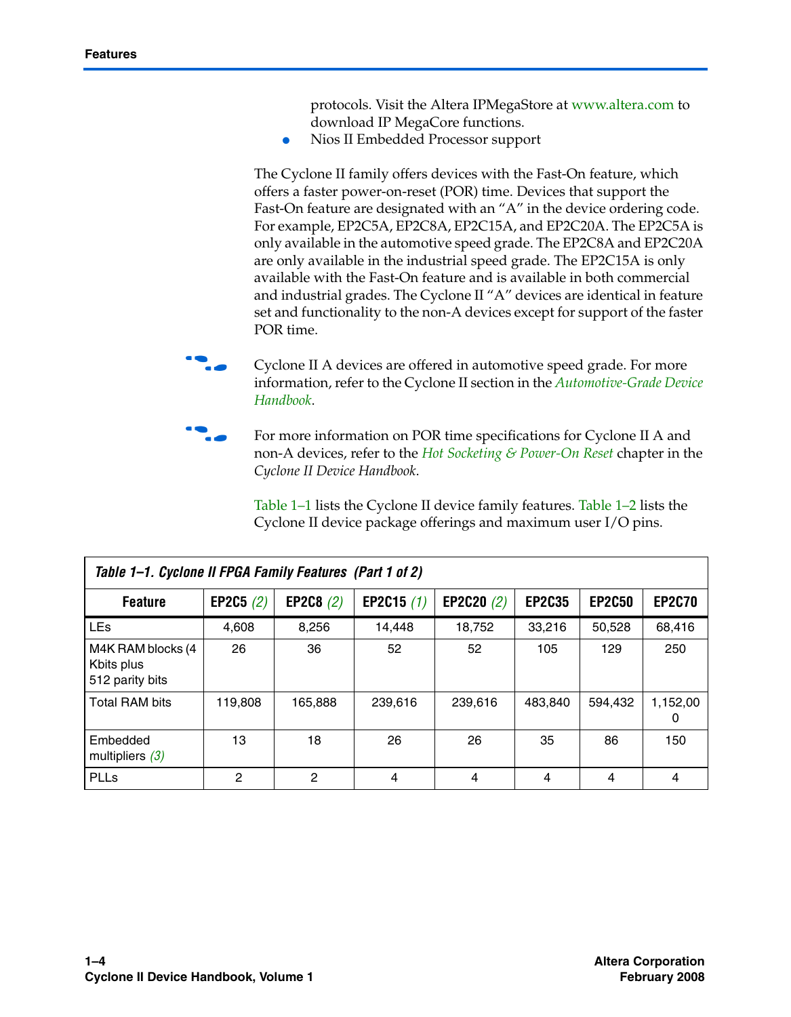protocols. Visit the Altera IPMegaStore at www.altera.com to download IP MegaCore functions.

● Nios II Embedded Processor support

The Cyclone II family offers devices with the Fast-On feature, which offers a faster power-on-reset (POR) time. Devices that support the Fast-On feature are designated with an "A" in the device ordering code. For example, EP2C5A, EP2C8A, EP2C15A, and EP2C20A. The EP2C5A is only available in the automotive speed grade. The EP2C8A and EP2C20A are only available in the industrial speed grade. The EP2C15A is only available with the Fast-On feature and is available in both commercial and industrial grades. The Cyclone II "A" devices are identical in feature set and functionality to the non-A devices except for support of the faster POR time.



**following** Cyclone II A devices are offered in automotive speed grade. For more information, refer to the Cyclone II section in the *Automotive-Grade Device Handbook*.



For more information on POR time specifications for Cyclone II A and non-A devices, refer to the *Hot Socketing & Power-On Reset* chapter in the *Cyclone II Device Handbook*.

Table 1–1 lists the Cyclone II device family features. Table 1–2 lists the Cyclone II device package offerings and maximum user I/O pins.

| Table 1-1. Cyclone II FPGA Family Features (Part 1 of 2) |             |             |              |              |               |               |               |
|----------------------------------------------------------|-------------|-------------|--------------|--------------|---------------|---------------|---------------|
| <b>Feature</b>                                           | EP2C5 $(2)$ | EP2C8 $(2)$ | EP2C15 $(1)$ | EP2C20 $(2)$ | <b>EP2C35</b> | <b>EP2C50</b> | <b>EP2C70</b> |
| <b>LEs</b>                                               | 4.608       | 8,256       | 14,448       | 18.752       | 33.216        | 50.528        | 68.416        |
| M4K RAM blocks (4<br>Kbits plus<br>512 parity bits       | 26          | 36          | 52           | 52           | 105           | 129           | 250           |
| <b>Total RAM bits</b>                                    | 119.808     | 165.888     | 239.616      | 239.616      | 483.840       | 594.432       | 1.152.00<br>0 |
| Embedded<br>multipliers $(3)$                            | 13          | 18          | 26           | 26           | 35            | 86            | 150           |
| PLLs                                                     | 2           | 2           | 4            | 4            | 4             | 4             | 4             |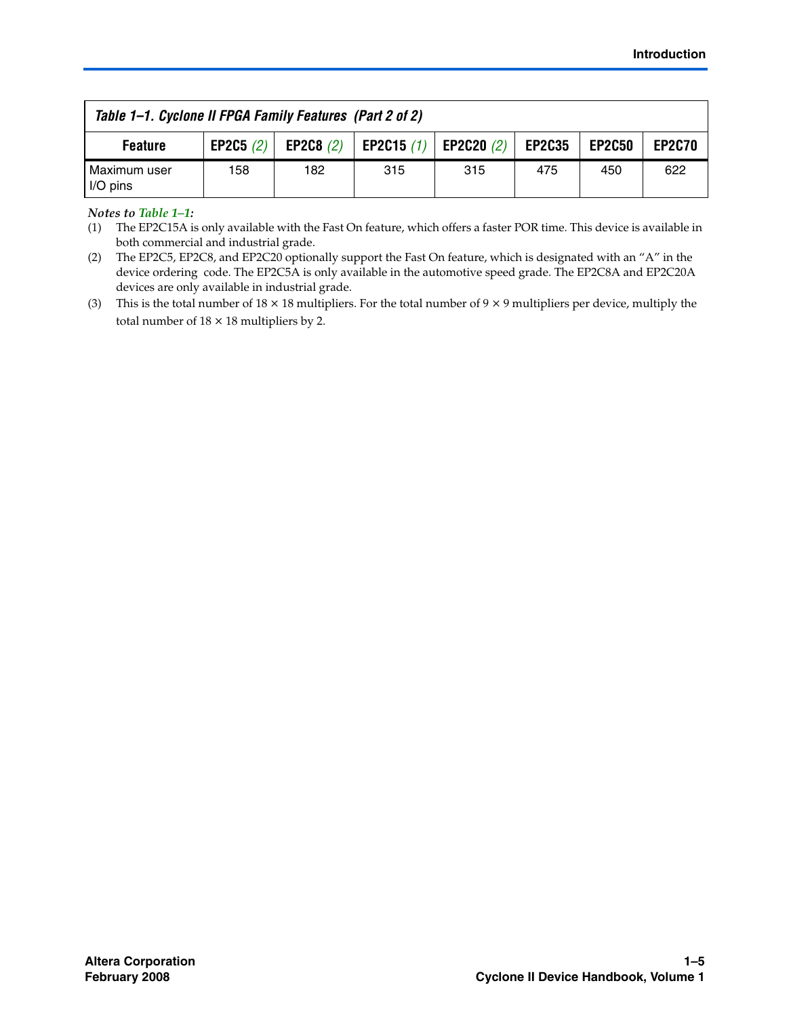| Table 1–1. Cyclone II FPGA Family Features (Part 2 of 2) |             |     |                                 |     |               |               |               |
|----------------------------------------------------------|-------------|-----|---------------------------------|-----|---------------|---------------|---------------|
| <b>Feature</b>                                           | EP2C5 $(2)$ |     | EP2C8 (2) EP2C15 (1) EP2C20 (2) |     | <b>EP2C35</b> | <b>EP2C50</b> | <b>EP2C70</b> |
| Maximum user<br>I/O pins                                 | 158         | 182 | 315                             | 315 | 475           | 450           | 622           |

*Notes to Table 1–1:*

<sup>(1)</sup> The EP2C15A is only available with the Fast On feature, which offers a faster POR time. This device is available in both commercial and industrial grade.

<sup>(2)</sup> The EP2C5, EP2C8, and EP2C20 optionally support the Fast On feature, which is designated with an "A" in the device ordering code. The EP2C5A is only available in the automotive speed grade. The EP2C8A and EP2C20A devices are only available in industrial grade.

<sup>(3)</sup> This is the total number of  $18 \times 18$  multipliers. For the total number of  $9 \times 9$  multipliers per device, multiply the total number of  $18 \times 18$  multipliers by 2.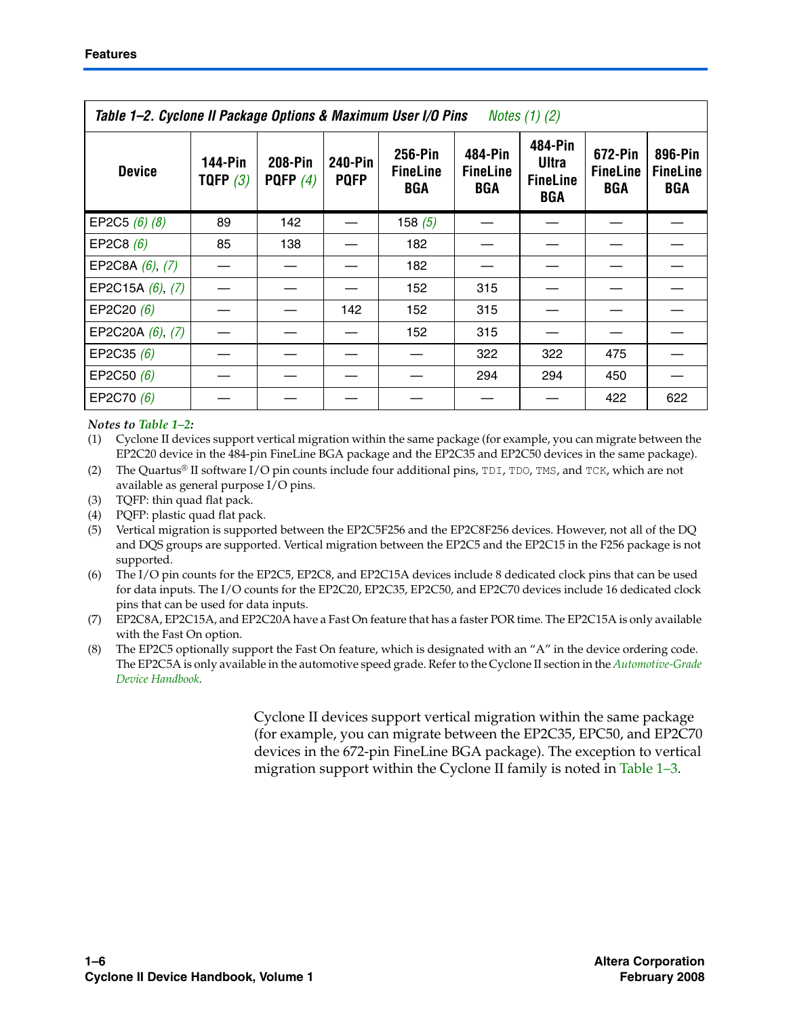| Table 1–2. Cyclone II Package Options & Maximum User I/O Pins<br>Notes $(1)$ $(2)$ |                              |                       |                               |                                          |                                          |                                                          |                                          |                                   |
|------------------------------------------------------------------------------------|------------------------------|-----------------------|-------------------------------|------------------------------------------|------------------------------------------|----------------------------------------------------------|------------------------------------------|-----------------------------------|
| <b>Device</b>                                                                      | <b>144-Pin</b><br>TQFP $(3)$ | 208-Pin<br>PQFP $(4)$ | <b>240-Pin</b><br><b>PQFP</b> | 256-Pin<br><b>FineLine</b><br><b>BGA</b> | 484-Pin<br><b>FineLine</b><br><b>BGA</b> | 484-Pin<br><b>Ultra</b><br><b>FineLine</b><br><b>BGA</b> | 672-Pin<br><b>FineLine</b><br><b>BGA</b> | 896-Pin<br><b>FineLine</b><br>BGA |
| EP2C5 $(6)$ $(8)$                                                                  | 89                           | 142                   |                               | 158 $(5)$                                |                                          |                                                          |                                          |                                   |
| EP2C8 $(6)$                                                                        | 85                           | 138                   |                               | 182                                      |                                          |                                                          |                                          |                                   |
| EP2C8A $(6)$ , $(7)$                                                               |                              |                       |                               | 182                                      |                                          |                                                          |                                          |                                   |
| EP2C15A (6), (7)                                                                   |                              |                       |                               | 152                                      | 315                                      |                                                          |                                          |                                   |
| EP2C20 (6)                                                                         |                              |                       | 142                           | 152                                      | 315                                      |                                                          |                                          |                                   |
| EP2C20A $(6)$ , $(7)$                                                              |                              |                       |                               | 152                                      | 315                                      |                                                          |                                          |                                   |
| EP2C35 $(6)$                                                                       |                              |                       |                               |                                          | 322                                      | 322                                                      | 475                                      |                                   |
| EP2C50 $(6)$                                                                       |                              |                       |                               |                                          | 294                                      | 294                                                      | 450                                      |                                   |
| EP2C70 (6)                                                                         |                              |                       |                               |                                          |                                          |                                                          | 422                                      | 622                               |

*Notes to Table 1–2:*

(1) Cyclone II devices support vertical migration within the same package (for example, you can migrate between the EP2C20 device in the 484-pin FineLine BGA package and the EP2C35 and EP2C50 devices in the same package).

- (2) The Quartus® II software I/O pin counts include four additional pins,  $TDI$ ,  $TDO$ ,  $TMS$ , and  $TCK$ , which are not available as general purpose I/O pins.
- (3) TQFP: thin quad flat pack.
- (4) PQFP: plastic quad flat pack.
- (5) Vertical migration is supported between the EP2C5F256 and the EP2C8F256 devices. However, not all of the DQ and DQS groups are supported. Vertical migration between the EP2C5 and the EP2C15 in the F256 package is not supported.
- (6) The I/O pin counts for the EP2C5, EP2C8, and EP2C15A devices include 8 dedicated clock pins that can be used for data inputs. The I/O counts for the EP2C20, EP2C35, EP2C50, and EP2C70 devices include 16 dedicated clock pins that can be used for data inputs.
- (7) EP2C8A, EP2C15A, and EP2C20A have a Fast On feature that has a faster POR time. The EP2C15A is only available with the Fast On option.
- (8) The EP2C5 optionally support the Fast On feature, which is designated with an "A" in the device ordering code. The EP2C5A is only available in the automotive speed grade. Refer to the Cyclone II section in the *Automotive-Grade Device Handbook*.

Cyclone II devices support vertical migration within the same package (for example, you can migrate between the EP2C35, EPC50, and EP2C70 devices in the 672-pin FineLine BGA package). The exception to vertical migration support within the Cyclone II family is noted in Table 1–3.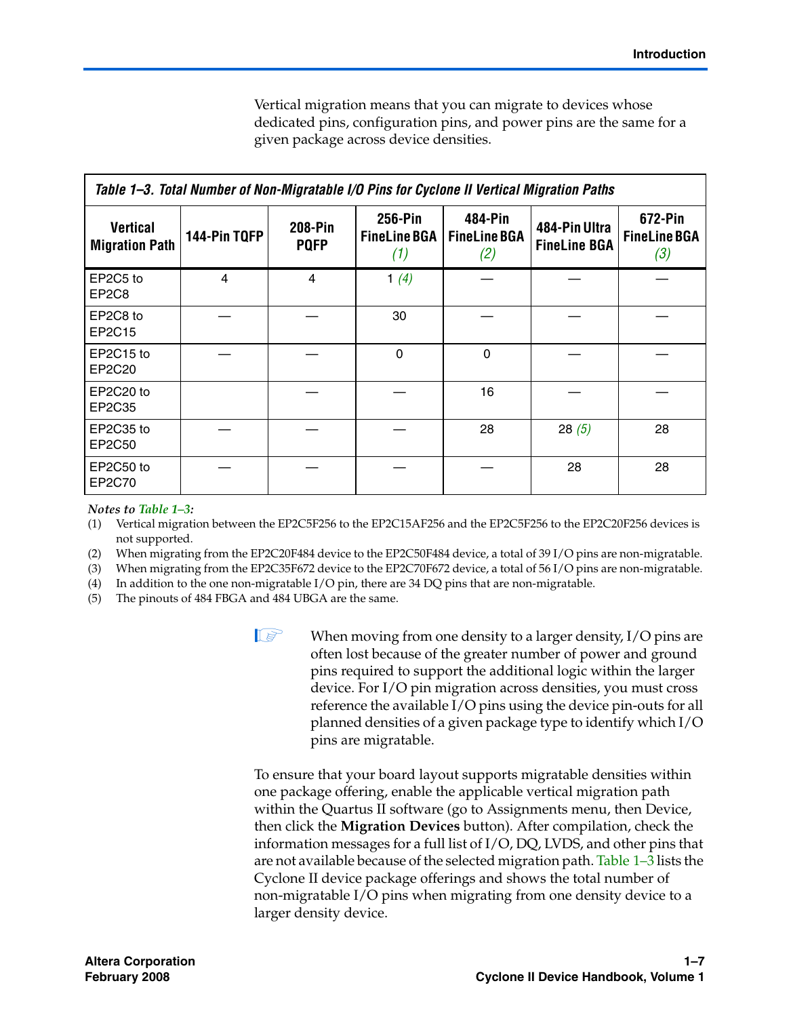Vertical migration means that you can migrate to devices whose dedicated pins, configuration pins, and power pins are the same for a given package across device densities.

| Table 1–3. Total Number of Non-Migratable I/O Pins for Cyclone II Vertical Migration Paths |              |                        |                                       |                                       |                                      |                                       |  |
|--------------------------------------------------------------------------------------------|--------------|------------------------|---------------------------------------|---------------------------------------|--------------------------------------|---------------------------------------|--|
| Vertical<br><b>Migration Path</b>                                                          | 144-Pin TQFP | 208-Pin<br><b>PQFP</b> | 256-Pin<br><b>FineLine BGA</b><br>(1) | 484-Pin<br><b>FineLine BGA</b><br>(2) | 484-Pin Ultra<br><b>FineLine BGA</b> | 672-Pin<br><b>FineLine BGA</b><br>(3) |  |
| EP2C5 to<br>EP <sub>2</sub> C <sub>8</sub>                                                 | 4            | 4                      | 1 $(4)$                               |                                       |                                      |                                       |  |
| EP2C8 to<br>EP2C15                                                                         |              |                        | 30                                    |                                       |                                      |                                       |  |
| EP2C15 to<br>EP2C20                                                                        |              |                        | $\Omega$                              | $\Omega$                              |                                      |                                       |  |
| EP2C20 to<br>EP2C35                                                                        |              |                        |                                       | 16                                    |                                      |                                       |  |
| EP2C35 to<br>EP2C50                                                                        |              |                        |                                       | 28                                    | 28(5)                                | 28                                    |  |
| EP2C50 to<br>EP2C70                                                                        |              |                        |                                       |                                       | 28                                   | 28                                    |  |

### *Notes to Table 1–3:*

- (1) Vertical migration between the EP2C5F256 to the EP2C15AF256 and the EP2C5F256 to the EP2C20F256 devices is not supported.
- (2) When migrating from the EP2C20F484 device to the EP2C50F484 device, a total of 39 I/O pins are non-migratable.
- (3) When migrating from the EP2C35F672 device to the EP2C70F672 device, a total of 56 I/O pins are non-migratable.

(4) In addition to the one non-migratable I/O pin, there are 34 DQ pins that are non-migratable.

(5) The pinouts of 484 FBGA and 484 UBGA are the same.

**1.8 When moving from one density to a larger density, I/O pins are** often lost because of the greater number of power and ground pins required to support the additional logic within the larger device. For I/O pin migration across densities, you must cross reference the available I/O pins using the device pin-outs for all planned densities of a given package type to identify which I/O pins are migratable.

To ensure that your board layout supports migratable densities within one package offering, enable the applicable vertical migration path within the Quartus II software (go to Assignments menu, then Device, then click the **Migration Devices** button). After compilation, check the information messages for a full list of I/O, DQ, LVDS, and other pins that are not available because of the selected migration path. Table 1–3 lists the Cyclone II device package offerings and shows the total number of non-migratable I/O pins when migrating from one density device to a larger density device.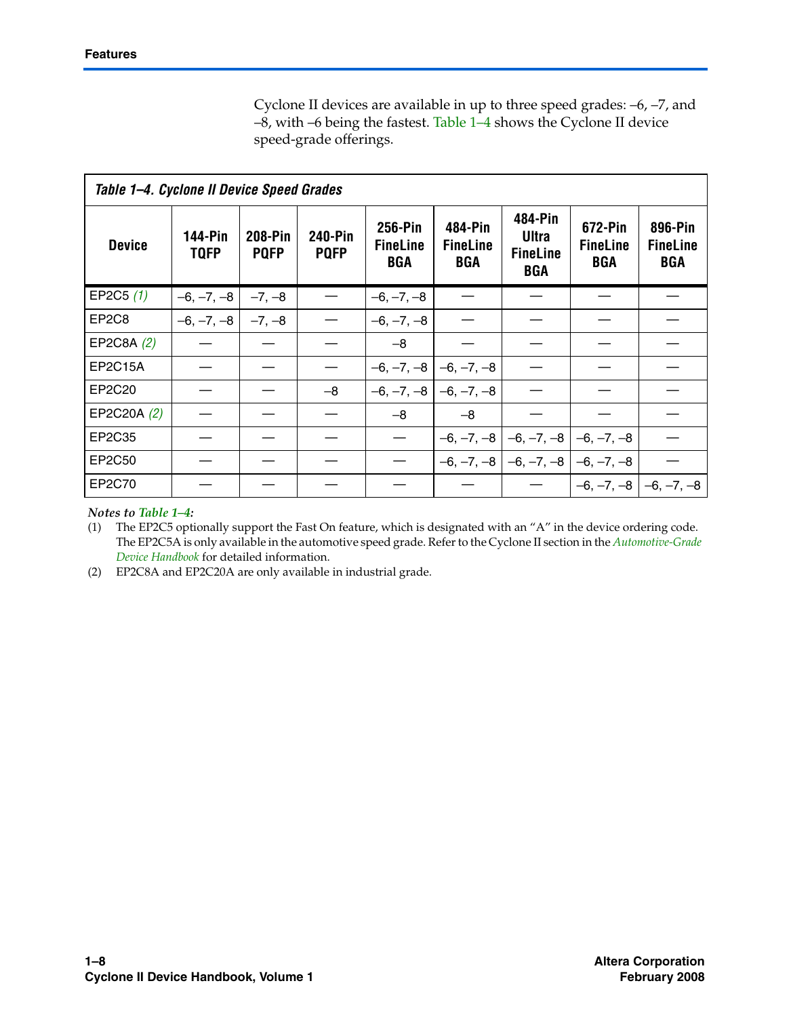Cyclone II devices are available in up to three speed grades: –6, –7, and –8, with –6 being the fastest. Table 1–4 shows the Cyclone II device speed-grade offerings.

| Table 1-4. Cyclone II Device Speed Grades |                        |                               |                        |                                          |                                   |                                                   |                                   |                                   |
|-------------------------------------------|------------------------|-------------------------------|------------------------|------------------------------------------|-----------------------------------|---------------------------------------------------|-----------------------------------|-----------------------------------|
| <b>Device</b>                             | 144-Pin<br><b>TQFP</b> | <b>208-Pin</b><br><b>PQFP</b> | 240-Pin<br><b>PQFP</b> | <b>256-Pin</b><br><b>FineLine</b><br>BGA | 484-Pin<br><b>FineLine</b><br>BGA | 484-Pin<br>Ultra<br><b>FineLine</b><br><b>BGA</b> | 672-Pin<br><b>FineLine</b><br>BGA | 896-Pin<br><b>FineLine</b><br>BGA |
| EP2C5 $(1)$                               | $-6, -7, -8$           | $-7, -8$                      |                        | $-6, -7, -8$                             |                                   |                                                   |                                   |                                   |
| EP <sub>2</sub> C <sub>8</sub>            | $-6, -7, -8$           | $-7. -8$                      |                        | $-6, -7, -8$                             |                                   |                                                   |                                   |                                   |
| EP2C8A (2)                                |                        |                               |                        | $-8$                                     |                                   |                                                   |                                   |                                   |
| <b>EP2C15A</b>                            |                        |                               |                        | $-6, -7, -8$ $-6, -7, -8$                |                                   |                                                   |                                   |                                   |
| EP2C20                                    |                        |                               | -8                     |                                          | $-6, -7, -8$ $-6, -7, -8$         |                                                   |                                   |                                   |
| EP2C20A (2)                               |                        |                               |                        | -8                                       | $-8$                              |                                                   |                                   |                                   |
| EP2C35                                    |                        |                               |                        |                                          |                                   | $-6, -7, -8$ $-6, -7, -8$ $-6, -7, -8$            |                                   |                                   |
| EP2C50                                    |                        |                               |                        |                                          |                                   | $-6, -7, -8$ $-6, -7, -8$ $-6, -7, -8$            |                                   |                                   |
| EP2C70                                    |                        |                               |                        |                                          |                                   |                                                   |                                   | $-6, -7, -8$ $-6, -7, -8$         |

### *Notes to Table 1–4:*

(1) The EP2C5 optionally support the Fast On feature, which is designated with an "A" in the device ordering code. The EP2C5A is only available in the automotive speed grade. Refer to the Cyclone II section in the *Automotive-Grade Device Handbook* for detailed information.

(2) EP2C8A and EP2C20A are only available in industrial grade.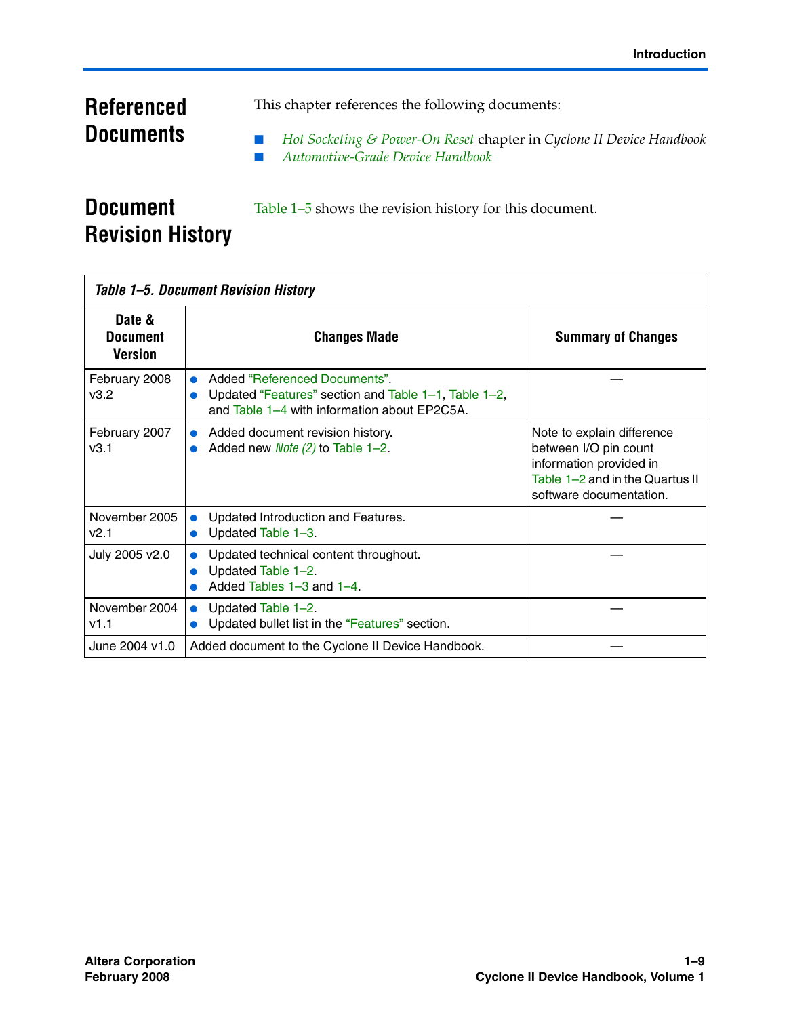## **Referenced Documents**

This chapter references the following documents:

■ *Hot Socketing & Power-On Reset* chapter in *Cyclone II Device Handbook* ■ *Automotive-Grade Device Handbook*

### **Document Revision History**

Table 1–5 shows the revision history for this document.

| Table 1–5. Document Revision History        |                                                                                                                                      |                                                                                                                                              |  |  |  |  |
|---------------------------------------------|--------------------------------------------------------------------------------------------------------------------------------------|----------------------------------------------------------------------------------------------------------------------------------------------|--|--|--|--|
| Date &<br><b>Document</b><br><b>Version</b> | <b>Changes Made</b>                                                                                                                  | <b>Summary of Changes</b>                                                                                                                    |  |  |  |  |
| February 2008<br>v3.2                       | Added "Referenced Documents"<br>Updated "Features" section and Table 1-1, Table 1-2,<br>and Table 1-4 with information about EP2C5A. |                                                                                                                                              |  |  |  |  |
| February 2007<br>v3.1                       | Added document revision history.<br>Added new <i>Note (2)</i> to Table $1-2$ .                                                       | Note to explain difference<br>between I/O pin count<br>information provided in<br>Table 1-2 and in the Quartus II<br>software documentation. |  |  |  |  |
| November 2005<br>v2.1                       | Updated Introduction and Features.<br>Updated Table 1-3.                                                                             |                                                                                                                                              |  |  |  |  |
| July 2005 v2.0                              | Updated technical content throughout.<br>Updated Table 1-2.<br>Added Tables 1-3 and 1-4.                                             |                                                                                                                                              |  |  |  |  |
| November 2004<br>v1.1                       | Updated Table 1-2.<br>$\bullet$<br>Updated bullet list in the "Features" section.                                                    |                                                                                                                                              |  |  |  |  |
| June 2004 v1.0                              | Added document to the Cyclone II Device Handbook.                                                                                    |                                                                                                                                              |  |  |  |  |